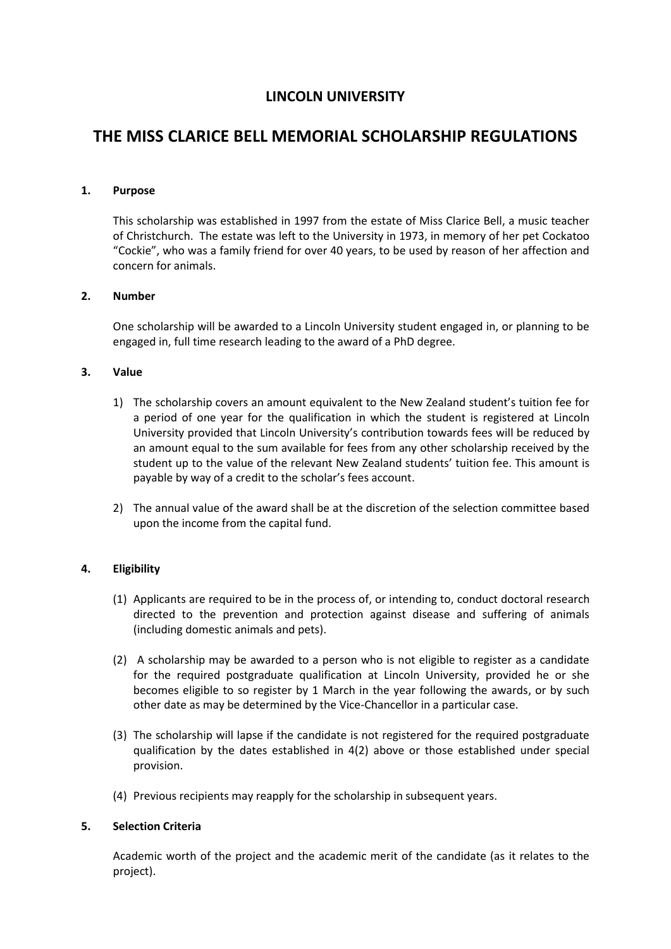# **LINCOLN UNIVERSITY**

# **THE MISS CLARICE BELL MEMORIAL SCHOLARSHIP REGULATIONS**

## **1. Purpose**

This scholarship was established in 1997 from the estate of Miss Clarice Bell, a music teacher of Christchurch. The estate was left to the University in 1973, in memory of her pet Cockatoo "Cockie", who was a family friend for over 40 years, to be used by reason of her affection and concern for animals.

# **2. Number**

One scholarship will be awarded to a Lincoln University student engaged in, or planning to be engaged in, full time research leading to the award of a PhD degree.

### **3. Value**

- 1) The scholarship covers an amount equivalent to the New Zealand student's tuition fee for a period of one year for the qualification in which the student is registered at Lincoln University provided that Lincoln University's contribution towards fees will be reduced by an amount equal to the sum available for fees from any other scholarship received by the student up to the value of the relevant New Zealand students' tuition fee. This amount is payable by way of a credit to the scholar's fees account.
- 2) The annual value of the award shall be at the discretion of the selection committee based upon the income from the capital fund.

# **4. Eligibility**

- (1) Applicants are required to be in the process of, or intending to, conduct doctoral research directed to the prevention and protection against disease and suffering of animals (including domestic animals and pets).
- (2) A scholarship may be awarded to a person who is not eligible to register as a candidate for the required postgraduate qualification at Lincoln University, provided he or she becomes eligible to so register by 1 March in the year following the awards, or by such other date as may be determined by the Vice-Chancellor in a particular case.
- (3) The scholarship will lapse if the candidate is not registered for the required postgraduate qualification by the dates established in 4(2) above or those established under special provision.
- (4) Previous recipients may reapply for the scholarship in subsequent years.

### **5. Selection Criteria**

Academic worth of the project and the academic merit of the candidate (as it relates to the project).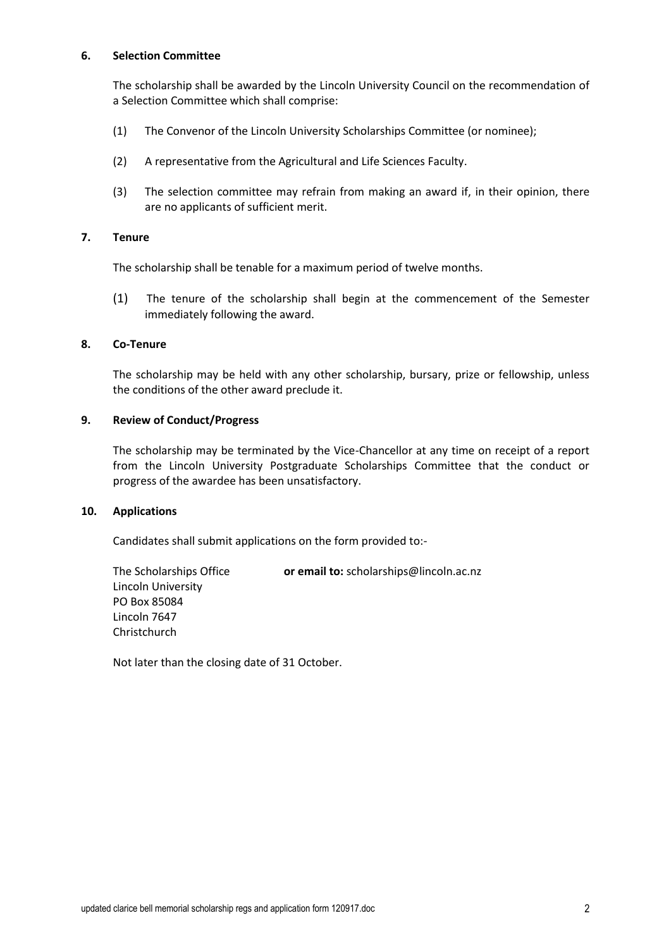### **6. Selection Committee**

The scholarship shall be awarded by the Lincoln University Council on the recommendation of a Selection Committee which shall comprise:

- (1) The Convenor of the Lincoln University Scholarships Committee (or nominee);
- (2) A representative from the Agricultural and Life Sciences Faculty.
- (3) The selection committee may refrain from making an award if, in their opinion, there are no applicants of sufficient merit.

# **7. Tenure**

The scholarship shall be tenable for a maximum period of twelve months.

(1) The tenure of the scholarship shall begin at the commencement of the Semester immediately following the award.

# **8. Co-Tenure**

The scholarship may be held with any other scholarship, bursary, prize or fellowship, unless the conditions of the other award preclude it.

### **9. Review of Conduct/Progress**

The scholarship may be terminated by the Vice-Chancellor at any time on receipt of a report from the Lincoln University Postgraduate Scholarships Committee that the conduct or progress of the awardee has been unsatisfactory.

### **10. Applications**

Candidates shall submit applications on the form provided to:-

The Scholarships Office **or email to:** scholarships@lincoln.ac.nz Lincoln University PO Box 85084 Lincoln 7647 Christchurch

Not later than the closing date of 31 October.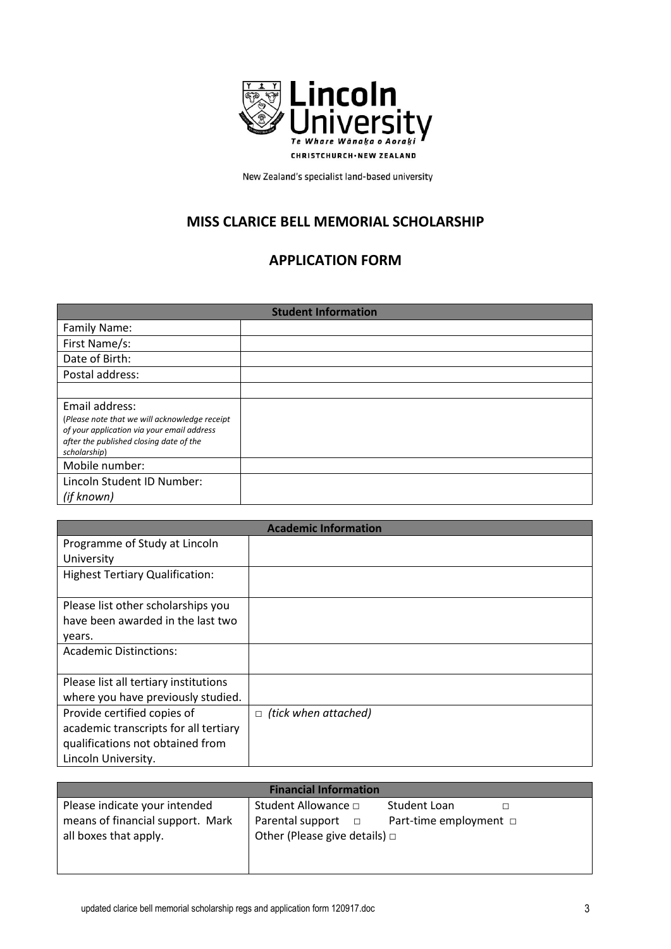

New Zealand's specialist land-based university

# **MISS CLARICE BELL MEMORIAL SCHOLARSHIP**

# **APPLICATION FORM**

| <b>Student Information</b>                                                                                                                                               |  |
|--------------------------------------------------------------------------------------------------------------------------------------------------------------------------|--|
| Family Name:                                                                                                                                                             |  |
| First Name/s:                                                                                                                                                            |  |
| Date of Birth:                                                                                                                                                           |  |
| Postal address:                                                                                                                                                          |  |
|                                                                                                                                                                          |  |
| Email address:<br>(Please note that we will acknowledge receipt<br>of your application via your email address<br>after the published closing date of the<br>scholarship) |  |
| Mobile number:                                                                                                                                                           |  |
| Lincoln Student ID Number:                                                                                                                                               |  |
| (if known)                                                                                                                                                               |  |

|                                        | <b>Academic Information</b>    |
|----------------------------------------|--------------------------------|
| Programme of Study at Lincoln          |                                |
| University                             |                                |
| <b>Highest Tertiary Qualification:</b> |                                |
|                                        |                                |
| Please list other scholarships you     |                                |
| have been awarded in the last two      |                                |
| years.                                 |                                |
| <b>Academic Distinctions:</b>          |                                |
|                                        |                                |
| Please list all tertiary institutions  |                                |
| where you have previously studied.     |                                |
| Provide certified copies of            | (tick when attached)<br>$\Box$ |
| academic transcripts for all tertiary  |                                |
| qualifications not obtained from       |                                |
| Lincoln University.                    |                                |

| <b>Financial Information</b>     |                                    |                        |
|----------------------------------|------------------------------------|------------------------|
| Please indicate your intended    | Student Allowance □                | Student Loan           |
| means of financial support. Mark | Parental support $\Box$            | Part-time employment □ |
| all boxes that apply.            | Other (Please give details) $\Box$ |                        |
|                                  |                                    |                        |
|                                  |                                    |                        |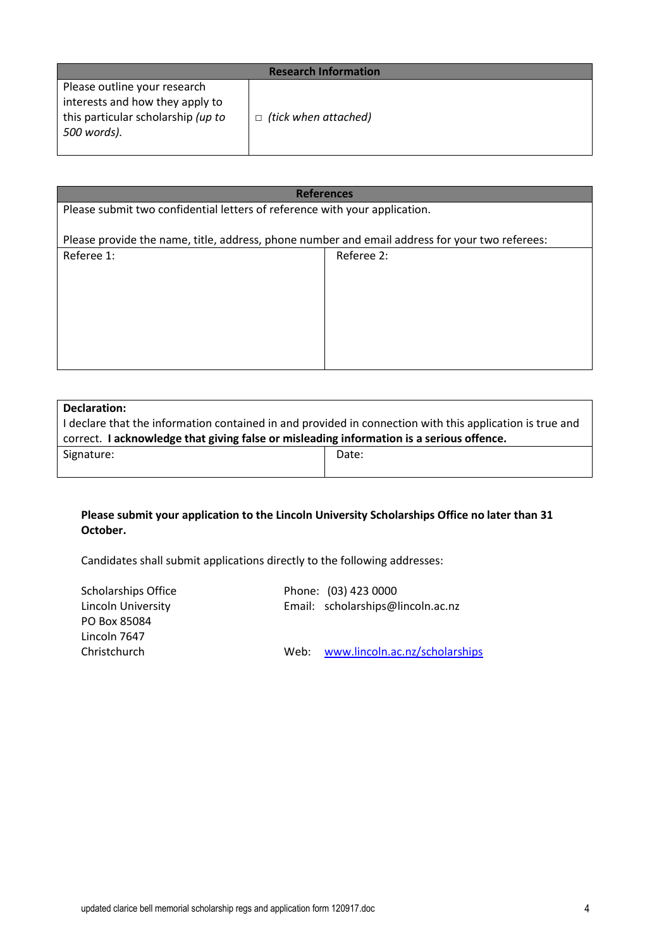| <b>Research Information</b>        |                             |  |
|------------------------------------|-----------------------------|--|
| Please outline your research       |                             |  |
| interests and how they apply to    |                             |  |
| this particular scholarship (up to | $\Box$ (tick when attached) |  |
| 500 words).                        |                             |  |
|                                    |                             |  |

| <b>References</b>                                                                              |            |  |
|------------------------------------------------------------------------------------------------|------------|--|
| Please submit two confidential letters of reference with your application.                     |            |  |
|                                                                                                |            |  |
| Please provide the name, title, address, phone number and email address for your two referees: |            |  |
| Referee 1:                                                                                     | Referee 2: |  |
|                                                                                                |            |  |
|                                                                                                |            |  |
|                                                                                                |            |  |
|                                                                                                |            |  |
|                                                                                                |            |  |
|                                                                                                |            |  |
|                                                                                                |            |  |

| Declaration:                                                                                             |       |
|----------------------------------------------------------------------------------------------------------|-------|
| I declare that the information contained in and provided in connection with this application is true and |       |
| correct. I acknowledge that giving false or misleading information is a serious offence.                 |       |
| Signature:                                                                                               | Date: |
|                                                                                                          |       |

# **Please submit your application to the Lincoln University Scholarships Office no later than 31 October.**

Candidates shall submit applications directly to the following addresses:

| <b>Scholarships Office</b> | Phone: (03) 423 0000                |
|----------------------------|-------------------------------------|
| Lincoln University         | Email: scholarships@lincoln.ac.nz   |
| PO Box 85084               |                                     |
| Lincoln 7647               |                                     |
| Christchurch               | Web: www.lincoln.ac.nz/scholarships |
|                            |                                     |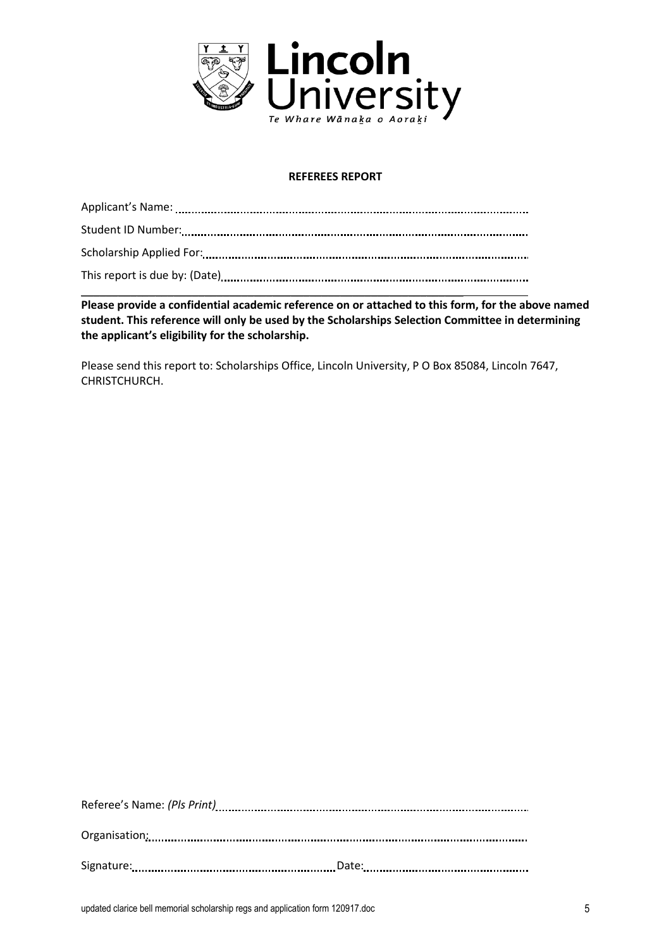

## **REFEREES REPORT**

 $\overline{\phantom{a}}$  , and the contract of the contract of the contract of the contract of the contract of the contract of the contract of the contract of the contract of the contract of the contract of the contract of the contrac **Please provide a confidential academic reference on or attached to this form, for the above named student. This reference will only be used by the Scholarships Selection Committee in determining the applicant's eligibility for the scholarship.** 

Please send this report to: Scholarships Office, Lincoln University, P O Box 85084, Lincoln 7647, CHRISTCHURCH.